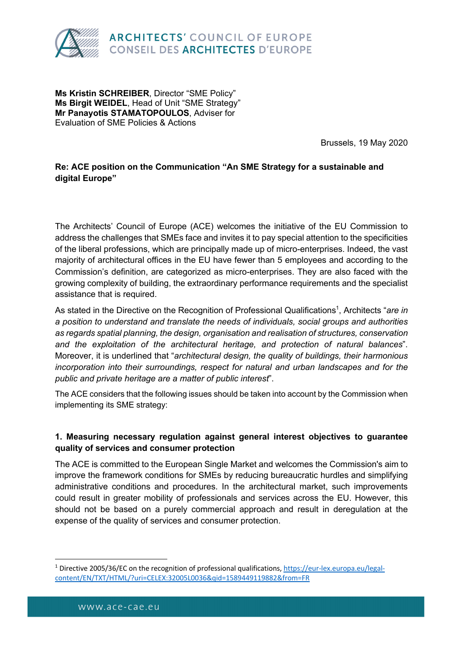

**Ms Kristin SCHREIBER**, Director "SME Policy" **Ms Birgit WEIDEL**, Head of Unit "SME Strategy" **Mr Panayotis STAMATOPOULOS**, Adviser for Evaluation of SME Policies & Actions

Brussels, 19 May 2020

### **Re: ACE position on the Communication "An SME Strategy for a sustainable and digital Europe"**

The Architects' Council of Europe (ACE) welcomes the initiative of the EU Commission to address the challenges that SMEs face and invites it to pay special attention to the specificities of the liberal professions, which are principally made up of micro-enterprises. Indeed, the vast majority of architectural offices in the EU have fewer than 5 employees and according to the Commission's definition, are categorized as micro-enterprises. They are also faced with the growing complexity of building, the extraordinary performance requirements and the specialist assistance that is required.

As stated in the Directive on the Recognition of Professional Qualifications<sup>1</sup>, Architects "are in *a position to understand and translate the needs of individuals, social groups and authorities as regards spatial planning, the design, organisation and realisation of structures, conservation and the exploitation of the architectural heritage, and protection of natural balances*". Moreover, it is underlined that "*architectural design, the quality of buildings, their harmonious incorporation into their surroundings, respect for natural and urban landscapes and for the public and private heritage are a matter of public interest*".

The ACE considers that the following issues should be taken into account by the Commission when implementing its SME strategy:

#### **1. Measuring necessary regulation against general interest objectives to guarantee quality of services and consumer protection**

The ACE is committed to the European Single Market and welcomes the Commission's aim to improve the framework conditions for SMEs by reducing bureaucratic hurdles and simplifying administrative conditions and procedures. In the architectural market, such improvements could result in greater mobility of professionals and services across the EU. However, this should not be based on a purely commercial approach and result in deregulation at the expense of the quality of services and consumer protection.

<sup>1</sup> Directive 2005/36/EC on the recognition of professional qualifications, https://eur-lex.europa.eu/legalcontent/EN/TXT/HTML/?uri=CELEX:32005L0036&qid=1589449119882&from=FR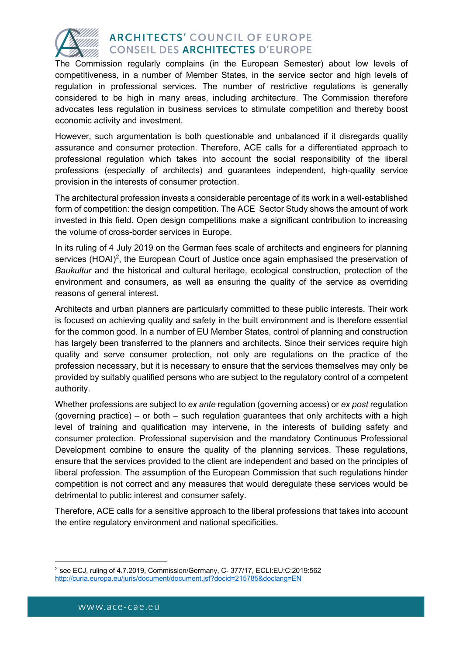

The Commission regularly complains (in the European Semester) about low levels of competitiveness, in a number of Member States, in the service sector and high levels of regulation in professional services. The number of restrictive regulations is generally considered to be high in many areas, including architecture. The Commission therefore advocates less regulation in business services to stimulate competition and thereby boost economic activity and investment.

However, such argumentation is both questionable and unbalanced if it disregards quality assurance and consumer protection. Therefore, ACE calls for a differentiated approach to professional regulation which takes into account the social responsibility of the liberal professions (especially of architects) and guarantees independent, high-quality service provision in the interests of consumer protection.

The architectural profession invests a considerable percentage of its work in a well-established form of competition: the design competition. The ACE Sector Study shows the amount of work invested in this field. Open design competitions make a significant contribution to increasing the volume of cross-border services in Europe.

In its ruling of 4 July 2019 on the German fees scale of architects and engineers for planning services (HOAI)<sup>2</sup>, the European Court of Justice once again emphasised the preservation of *Baukultur* and the historical and cultural heritage, ecological construction, protection of the environment and consumers, as well as ensuring the quality of the service as overriding reasons of general interest.

Architects and urban planners are particularly committed to these public interests. Their work is focused on achieving quality and safety in the built environment and is therefore essential for the common good. In a number of EU Member States, control of planning and construction has largely been transferred to the planners and architects. Since their services require high quality and serve consumer protection, not only are regulations on the practice of the profession necessary, but it is necessary to ensure that the services themselves may only be provided by suitably qualified persons who are subject to the regulatory control of a competent authority.

Whether professions are subject to *ex ante* regulation (governing access) or *ex post* regulation (governing practice) – or both – such regulation guarantees that only architects with a high level of training and qualification may intervene, in the interests of building safety and consumer protection. Professional supervision and the mandatory Continuous Professional Development combine to ensure the quality of the planning services. These regulations, ensure that the services provided to the client are independent and based on the principles of liberal profession. The assumption of the European Commission that such regulations hinder competition is not correct and any measures that would deregulate these services would be detrimental to public interest and consumer safety.

Therefore, ACE calls for a sensitive approach to the liberal professions that takes into account the entire regulatory environment and national specificities.

<sup>2</sup> see ECJ, ruling of 4.7.2019, Commission/Germany, C- 377/17, ECLI:EU:C:2019:562 http://curia.europa.eu/juris/document/document.jsf?docid=215785&doclang=EN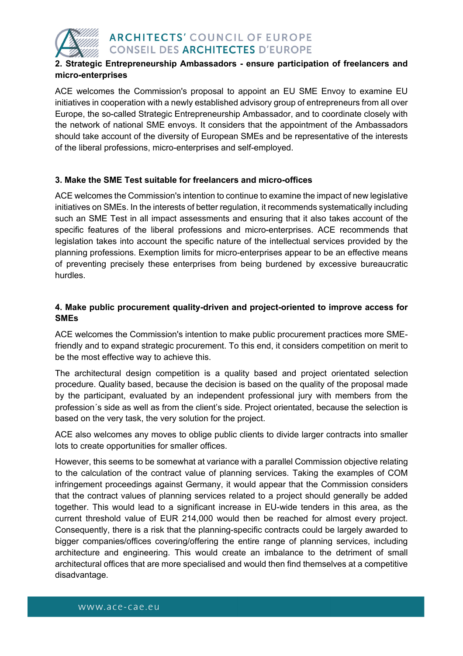

### **2. Strategic Entrepreneurship Ambassadors - ensure participation of freelancers and micro-enterprises**

ACE welcomes the Commission's proposal to appoint an EU SME Envoy to examine EU initiatives in cooperation with a newly established advisory group of entrepreneurs from all over Europe, the so-called Strategic Entrepreneurship Ambassador, and to coordinate closely with the network of national SME envoys. It considers that the appointment of the Ambassadors should take account of the diversity of European SMEs and be representative of the interests of the liberal professions, micro-enterprises and self-employed.

### **3. Make the SME Test suitable for freelancers and micro-offices**

ACE welcomes the Commission's intention to continue to examine the impact of new legislative initiatives on SMEs. In the interests of better regulation, it recommends systematically including such an SME Test in all impact assessments and ensuring that it also takes account of the specific features of the liberal professions and micro-enterprises. ACE recommends that legislation takes into account the specific nature of the intellectual services provided by the planning professions. Exemption limits for micro-enterprises appear to be an effective means of preventing precisely these enterprises from being burdened by excessive bureaucratic hurdles.

### **4. Make public procurement quality-driven and project-oriented to improve access for SMEs**

ACE welcomes the Commission's intention to make public procurement practices more SMEfriendly and to expand strategic procurement. To this end, it considers competition on merit to be the most effective way to achieve this.

The architectural design competition is a quality based and project orientated selection procedure. Quality based, because the decision is based on the quality of the proposal made by the participant, evaluated by an independent professional jury with members from the profession´s side as well as from the client's side. Project orientated, because the selection is based on the very task, the very solution for the project.

ACE also welcomes any moves to oblige public clients to divide larger contracts into smaller lots to create opportunities for smaller offices.

However, this seems to be somewhat at variance with a parallel Commission objective relating to the calculation of the contract value of planning services. Taking the examples of COM infringement proceedings against Germany, it would appear that the Commission considers that the contract values of planning services related to a project should generally be added together. This would lead to a significant increase in EU-wide tenders in this area, as the current threshold value of EUR 214,000 would then be reached for almost every project. Consequently, there is a risk that the planning-specific contracts could be largely awarded to bigger companies/offices covering/offering the entire range of planning services, including architecture and engineering. This would create an imbalance to the detriment of small architectural offices that are more specialised and would then find themselves at a competitive disadvantage.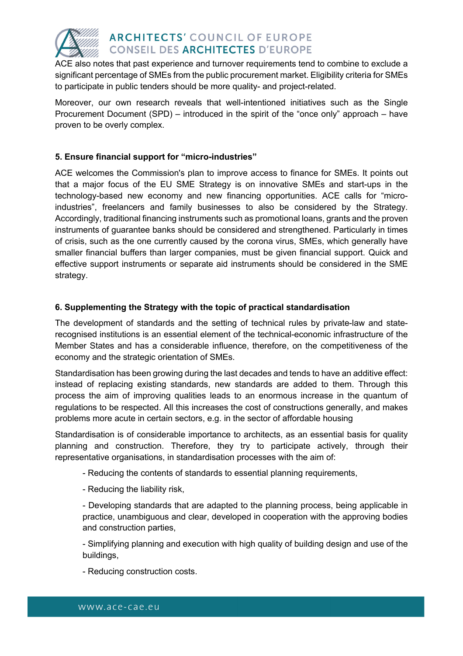

ACE also notes that past experience and turnover requirements tend to combine to exclude a significant percentage of SMEs from the public procurement market. Eligibility criteria for SMEs to participate in public tenders should be more quality- and project-related.

Moreover, our own research reveals that well-intentioned initiatives such as the Single Procurement Document (SPD) – introduced in the spirit of the "once only" approach – have proven to be overly complex.

#### **5. Ensure financial support for "micro-industries"**

ACE welcomes the Commission's plan to improve access to finance for SMEs. It points out that a major focus of the EU SME Strategy is on innovative SMEs and start-ups in the technology-based new economy and new financing opportunities. ACE calls for "microindustries", freelancers and family businesses to also be considered by the Strategy. Accordingly, traditional financing instruments such as promotional loans, grants and the proven instruments of guarantee banks should be considered and strengthened. Particularly in times of crisis, such as the one currently caused by the corona virus, SMEs, which generally have smaller financial buffers than larger companies, must be given financial support. Quick and effective support instruments or separate aid instruments should be considered in the SME strategy.

#### **6. Supplementing the Strategy with the topic of practical standardisation**

The development of standards and the setting of technical rules by private-law and staterecognised institutions is an essential element of the technical-economic infrastructure of the Member States and has a considerable influence, therefore, on the competitiveness of the economy and the strategic orientation of SMEs.

Standardisation has been growing during the last decades and tends to have an additive effect: instead of replacing existing standards, new standards are added to them. Through this process the aim of improving qualities leads to an enormous increase in the quantum of regulations to be respected. All this increases the cost of constructions generally, and makes problems more acute in certain sectors, e.g. in the sector of affordable housing

Standardisation is of considerable importance to architects, as an essential basis for quality planning and construction. Therefore, they try to participate actively, through their representative organisations, in standardisation processes with the aim of:

- Reducing the contents of standards to essential planning requirements,
- Reducing the liability risk,

- Developing standards that are adapted to the planning process, being applicable in practice, unambiguous and clear, developed in cooperation with the approving bodies and construction parties,

- Simplifying planning and execution with high quality of building design and use of the buildings,

- Reducing construction costs.